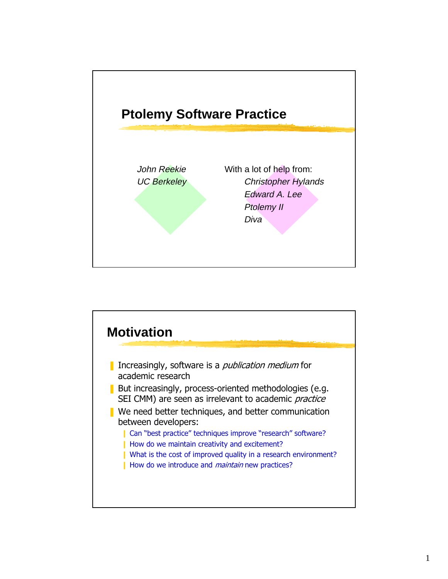

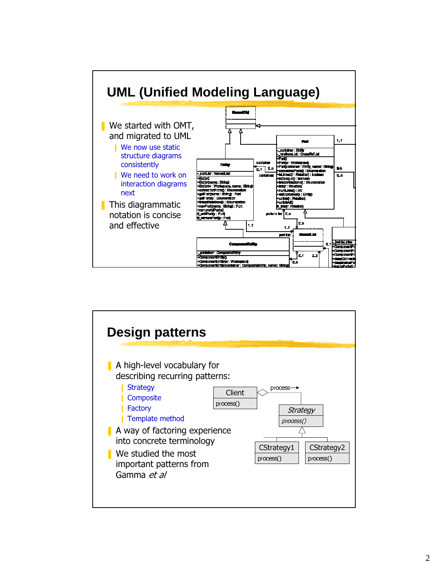

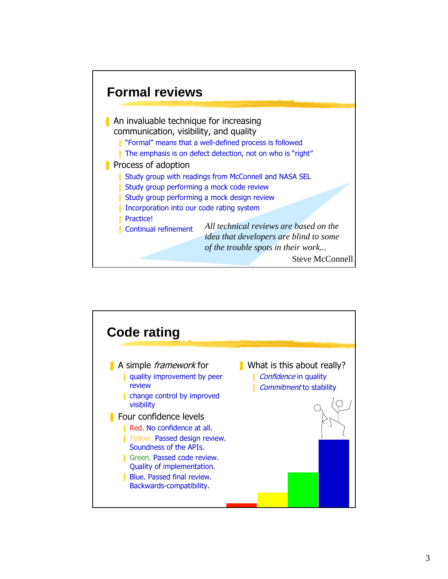

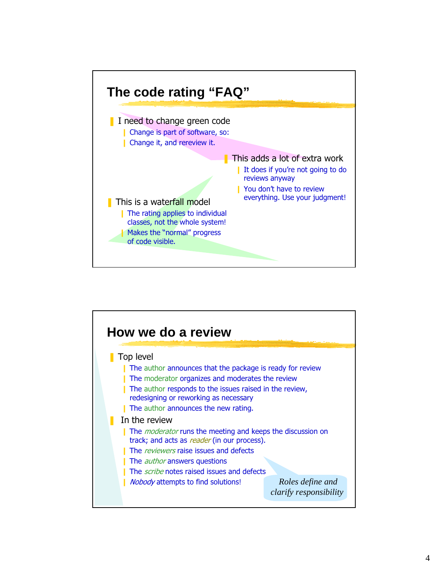

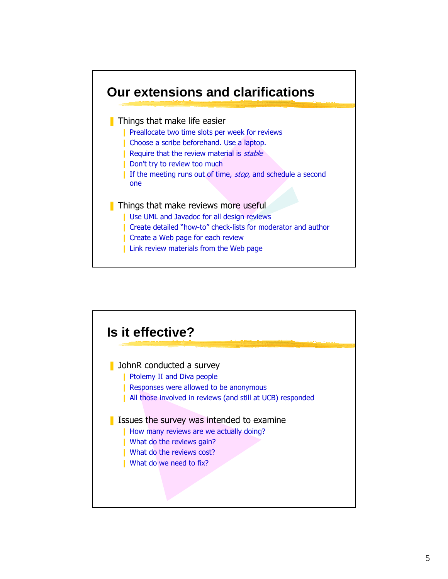

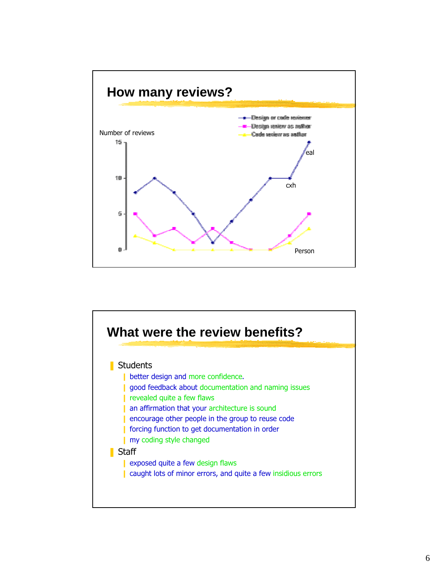

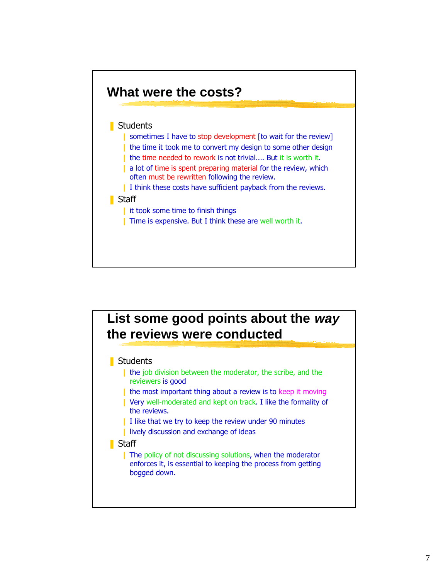

# **List some good points about the way the reviews were conducted**

#### **Students**

- the job division between the moderator, the scribe, and the reviewers is good
- I the most important thing about a review is to keep it moving
- I Very well-moderated and kept on track. I like the formality of the reviews.
- $\blacksquare$  I like that we try to keep the review under 90 minutes
- **I** lively discussion and exchange of ideas
- **■** Staff
	- **I** The policy of not discussing solutions, when the moderator enforces it, is essential to keeping the process from getting bogged down.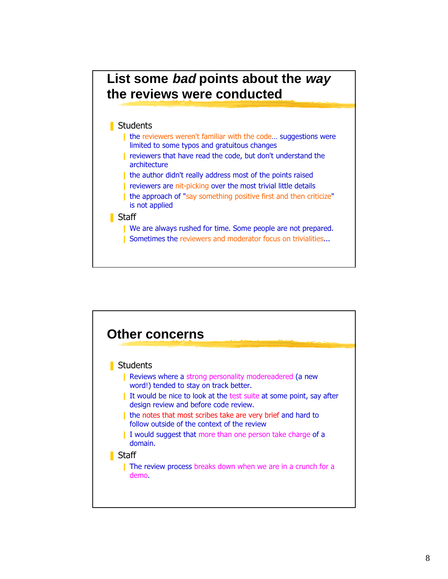# **List some bad points about the way the reviews were conducted**

### ■ Students

- I the reviewers weren't familiar with the code... suggestions were limited to some typos and gratuitous changes
- I reviewers that have read the code, but don't understand the architecture
- I the author didn't really address most of the points raised
- **I** reviewers are nit-picking over the most trivial little details
- I the approach of "say something positive first and then criticize" is not applied

#### **■** Staff

- **I** We are always rushed for time. Some people are not prepared.
- **I** Sometimes the reviewers and moderator focus on trivialities...